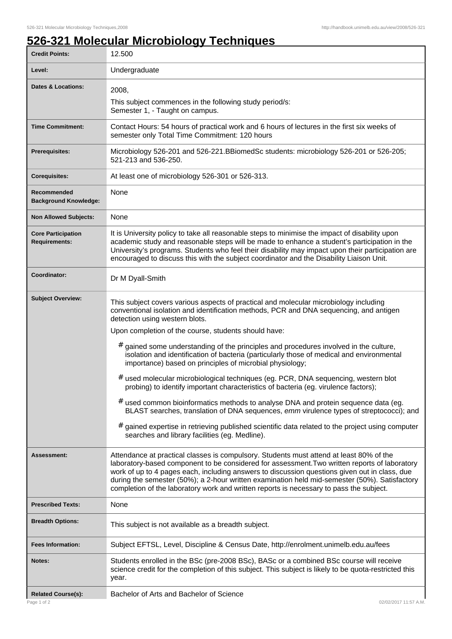## **526-321 Molecular Microbiology Techniques**

| <b>Credit Points:</b>                             | 12.500                                                                                                                                                                                                                                                                                                                                                                                                                                                                                                                                                                                                                                                                                                                                                                                                                                                                                       |
|---------------------------------------------------|----------------------------------------------------------------------------------------------------------------------------------------------------------------------------------------------------------------------------------------------------------------------------------------------------------------------------------------------------------------------------------------------------------------------------------------------------------------------------------------------------------------------------------------------------------------------------------------------------------------------------------------------------------------------------------------------------------------------------------------------------------------------------------------------------------------------------------------------------------------------------------------------|
| Level:                                            | Undergraduate                                                                                                                                                                                                                                                                                                                                                                                                                                                                                                                                                                                                                                                                                                                                                                                                                                                                                |
| <b>Dates &amp; Locations:</b>                     | 2008,                                                                                                                                                                                                                                                                                                                                                                                                                                                                                                                                                                                                                                                                                                                                                                                                                                                                                        |
|                                                   | This subject commences in the following study period/s:<br>Semester 1, - Taught on campus.                                                                                                                                                                                                                                                                                                                                                                                                                                                                                                                                                                                                                                                                                                                                                                                                   |
| <b>Time Commitment:</b>                           | Contact Hours: 54 hours of practical work and 6 hours of lectures in the first six weeks of<br>semester only Total Time Commitment: 120 hours                                                                                                                                                                                                                                                                                                                                                                                                                                                                                                                                                                                                                                                                                                                                                |
| <b>Prerequisites:</b>                             | Microbiology 526-201 and 526-221.BBiomedSc students: microbiology 526-201 or 526-205;<br>521-213 and 536-250.                                                                                                                                                                                                                                                                                                                                                                                                                                                                                                                                                                                                                                                                                                                                                                                |
| <b>Corequisites:</b>                              | At least one of microbiology 526-301 or 526-313.                                                                                                                                                                                                                                                                                                                                                                                                                                                                                                                                                                                                                                                                                                                                                                                                                                             |
| Recommended<br><b>Background Knowledge:</b>       | None                                                                                                                                                                                                                                                                                                                                                                                                                                                                                                                                                                                                                                                                                                                                                                                                                                                                                         |
| <b>Non Allowed Subjects:</b>                      | None                                                                                                                                                                                                                                                                                                                                                                                                                                                                                                                                                                                                                                                                                                                                                                                                                                                                                         |
| <b>Core Participation</b><br><b>Requirements:</b> | It is University policy to take all reasonable steps to minimise the impact of disability upon<br>academic study and reasonable steps will be made to enhance a student's participation in the<br>University's programs. Students who feel their disability may impact upon their participation are<br>encouraged to discuss this with the subject coordinator and the Disability Liaison Unit.                                                                                                                                                                                                                                                                                                                                                                                                                                                                                              |
| Coordinator:                                      | Dr M Dyall-Smith                                                                                                                                                                                                                                                                                                                                                                                                                                                                                                                                                                                                                                                                                                                                                                                                                                                                             |
| <b>Subject Overview:</b>                          | This subject covers various aspects of practical and molecular microbiology including<br>conventional isolation and identification methods, PCR and DNA sequencing, and antigen<br>detection using western blots.<br>Upon completion of the course, students should have:<br>#<br>gained some understanding of the principles and procedures involved in the culture,<br>isolation and identification of bacteria (particularly those of medical and environmental<br>importance) based on principles of microbial physiology;<br># used molecular microbiological techniques (eg. PCR, DNA sequencing, western blot<br>probing) to identify important characteristics of bacteria (eg. virulence factors);<br># used common bioinformatics methods to analyse DNA and protein sequence data (eg.<br>BLAST searches, translation of DNA sequences, emm virulence types of streptococci); and |
|                                                   | gained expertise in retrieving published scientific data related to the project using computer<br>#<br>searches and library facilities (eg. Medline).                                                                                                                                                                                                                                                                                                                                                                                                                                                                                                                                                                                                                                                                                                                                        |
| Assessment:                                       | Attendance at practical classes is compulsory. Students must attend at least 80% of the<br>laboratory-based component to be considered for assessment. Two written reports of laboratory<br>work of up to 4 pages each, including answers to discussion questions given out in class, due<br>during the semester (50%); a 2-hour written examination held mid-semester (50%). Satisfactory<br>completion of the laboratory work and written reports is necessary to pass the subject.                                                                                                                                                                                                                                                                                                                                                                                                        |
| <b>Prescribed Texts:</b>                          | None                                                                                                                                                                                                                                                                                                                                                                                                                                                                                                                                                                                                                                                                                                                                                                                                                                                                                         |
| <b>Breadth Options:</b>                           | This subject is not available as a breadth subject.                                                                                                                                                                                                                                                                                                                                                                                                                                                                                                                                                                                                                                                                                                                                                                                                                                          |
| <b>Fees Information:</b>                          | Subject EFTSL, Level, Discipline & Census Date, http://enrolment.unimelb.edu.au/fees                                                                                                                                                                                                                                                                                                                                                                                                                                                                                                                                                                                                                                                                                                                                                                                                         |
| Notes:                                            | Students enrolled in the BSc (pre-2008 BSc), BASc or a combined BSc course will receive<br>science credit for the completion of this subject. This subject is likely to be quota-restricted this<br>year.                                                                                                                                                                                                                                                                                                                                                                                                                                                                                                                                                                                                                                                                                    |
| <b>Related Course(s):</b><br>Page 1 of 2          | Bachelor of Arts and Bachelor of Science<br>02/02/2017 11:57 A.M.                                                                                                                                                                                                                                                                                                                                                                                                                                                                                                                                                                                                                                                                                                                                                                                                                            |